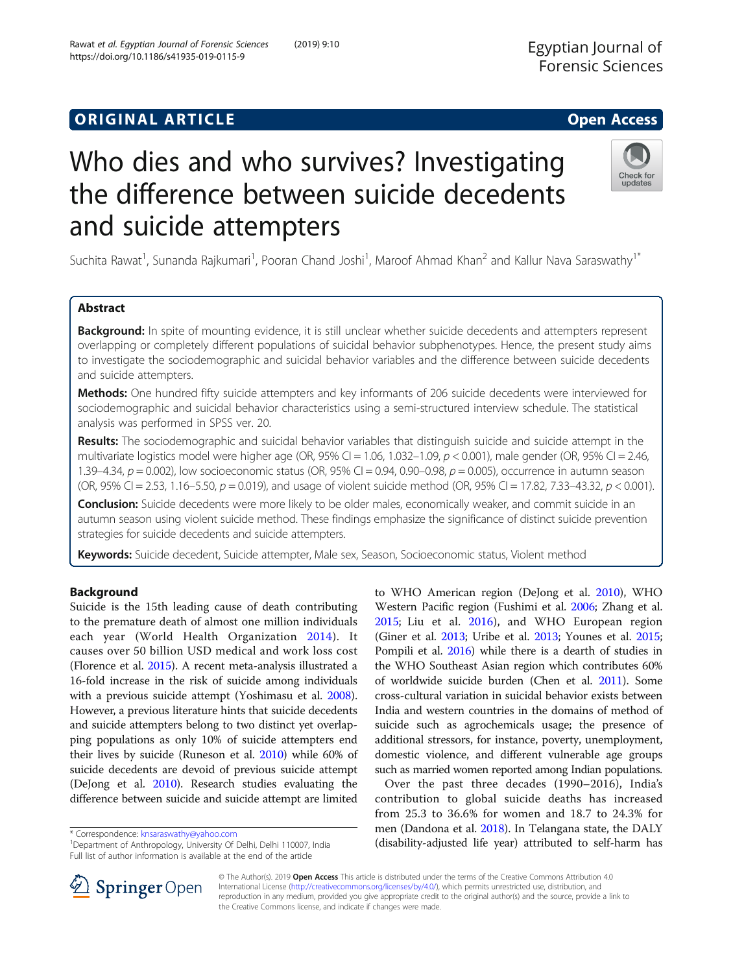# **ORIGINAL ARTICLE CONSERVANCE IN A LOCAL CONSERVANCE IN A LOCAL CONSERVANCE IN A LOCAL CONSERVANCE IN A LOCAL CONS**

# Who dies and who survives? Investigating the difference between suicide decedents and suicide attempters

Suchita Rawat<sup>1</sup>, Sunanda Rajkumari<sup>1</sup>, Pooran Chand Joshi<sup>1</sup>, Maroof Ahmad Khan<sup>2</sup> and Kallur Nava Saraswathy<sup>1\*</sup>

## Abstract

Background: In spite of mounting evidence, it is still unclear whether suicide decedents and attempters represent overlapping or completely different populations of suicidal behavior subphenotypes. Hence, the present study aims to investigate the sociodemographic and suicidal behavior variables and the difference between suicide decedents and suicide attempters.

Methods: One hundred fifty suicide attempters and key informants of 206 suicide decedents were interviewed for sociodemographic and suicidal behavior characteristics using a semi-structured interview schedule. The statistical analysis was performed in SPSS ver. 20.

Results: The sociodemographic and suicidal behavior variables that distinguish suicide and suicide attempt in the multivariate logistics model were higher age (OR, 95% CI = 1.06, 1.032-1.09,  $p < 0.001$ ), male gender (OR, 95% CI = 2.46, 1.39–4.34,  $p = 0.002$ ), low socioeconomic status (OR, 95% CI = 0.94, 0.90–0.98,  $p = 0.005$ ), occurrence in autumn season (OR, 95% CI = 2.53, 1.16–5.50,  $p = 0.019$ ), and usage of violent suicide method (OR, 95% CI = 17.82, 7.33–43.32,  $p < 0.001$ ).

Conclusion: Suicide decedents were more likely to be older males, economically weaker, and commit suicide in an autumn season using violent suicide method. These findings emphasize the significance of distinct suicide prevention strategies for suicide decedents and suicide attempters.

Keywords: Suicide decedent, Suicide attempter, Male sex, Season, Socioeconomic status, Violent method

## Background

Suicide is the 15th leading cause of death contributing to the premature death of almost one million individuals each year (World Health Organization [2014](#page-6-0)). It causes over 50 billion USD medical and work loss cost (Florence et al. [2015](#page-5-0)). A recent meta-analysis illustrated a 16-fold increase in the risk of suicide among individuals with a previous suicide attempt (Yoshimasu et al. [2008](#page-6-0)). However, a previous literature hints that suicide decedents and suicide attempters belong to two distinct yet overlapping populations as only 10% of suicide attempters end their lives by suicide (Runeson et al. [2010](#page-6-0)) while 60% of suicide decedents are devoid of previous suicide attempt (DeJong et al. [2010\)](#page-5-0). Research studies evaluating the difference between suicide and suicide attempt are limited

<sup>1</sup>Department of Anthropology, University Of Delhi, Delhi 110007, India Full list of author information is available at the end of the article

[2015;](#page-6-0) Liu et al. [2016\)](#page-5-0), and WHO European region (Giner et al. [2013;](#page-5-0) Uribe et al. [2013;](#page-6-0) Younes et al. [2015](#page-6-0); Pompili et al. [2016](#page-6-0)) while there is a dearth of studies in the WHO Southeast Asian region which contributes 60% of worldwide suicide burden (Chen et al. [2011\)](#page-5-0). Some cross-cultural variation in suicidal behavior exists between India and western countries in the domains of method of suicide such as agrochemicals usage; the presence of additional stressors, for instance, poverty, unemployment, domestic violence, and different vulnerable age groups such as married women reported among Indian populations. Over the past three decades (1990–2016), India's

to WHO American region (DeJong et al. [2010\)](#page-5-0), WHO Western Pacific region (Fushimi et al. [2006](#page-5-0); Zhang et al.

contribution to global suicide deaths has increased from 25.3 to 36.6% for women and 18.7 to 24.3% for men (Dandona et al. [2018\)](#page-5-0). In Telangana state, the DALY \* Correspondence: [knsaraswathy@yahoo.com](mailto:knsaraswathy@yahoo.com) attributed to self-harm has \* Correspondence: knsaraswathy@yahoo.com i<br>IDepartment of Anthropology, University Of Delhi, Delhi 110007, India (disability-adjusted life year) attribut



© The Author(s). 2019 Open Access This article is distributed under the terms of the Creative Commons Attribution 4.0 International License ([http://creativecommons.org/licenses/by/4.0/\)](http://creativecommons.org/licenses/by/4.0/), which permits unrestricted use, distribution, and reproduction in any medium, provided you give appropriate credit to the original author(s) and the source, provide a link to the Creative Commons license, and indicate if changes were made.



updates

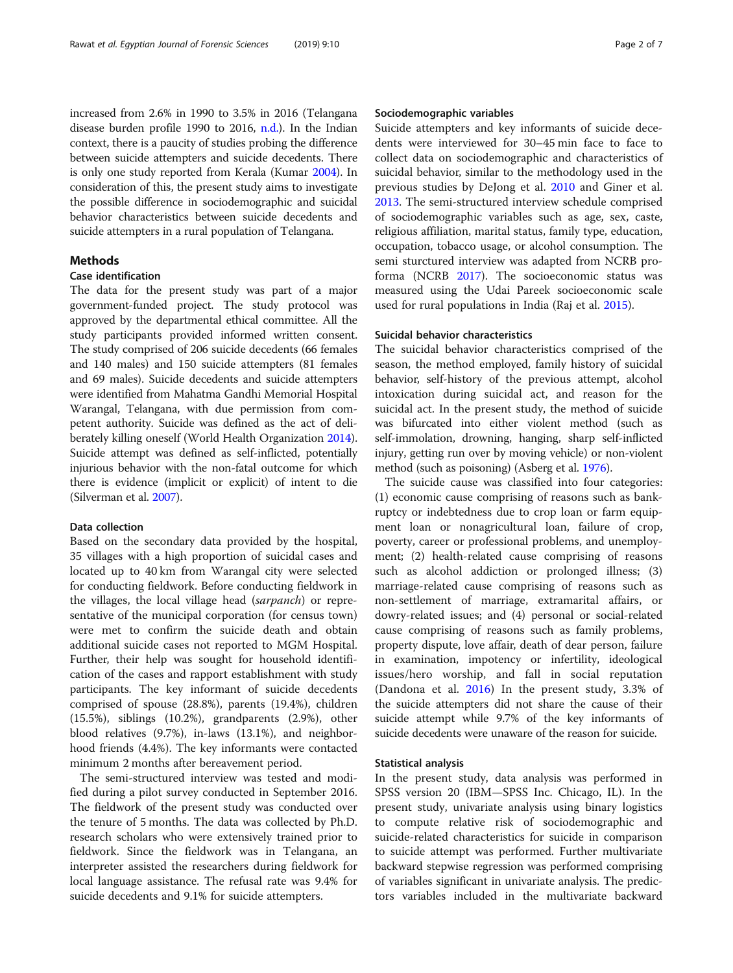increased from 2.6% in 1990 to 3.5% in 2016 (Telangana disease burden profile 1990 to 2016, [n.d.](#page-6-0)). In the Indian context, there is a paucity of studies probing the difference between suicide attempters and suicide decedents. There is only one study reported from Kerala (Kumar [2004](#page-5-0)). In consideration of this, the present study aims to investigate the possible difference in sociodemographic and suicidal behavior characteristics between suicide decedents and suicide attempters in a rural population of Telangana.

## **Methods**

## Case identification

The data for the present study was part of a major government-funded project. The study protocol was approved by the departmental ethical committee. All the study participants provided informed written consent. The study comprised of 206 suicide decedents (66 females and 140 males) and 150 suicide attempters (81 females and 69 males). Suicide decedents and suicide attempters were identified from Mahatma Gandhi Memorial Hospital Warangal, Telangana, with due permission from competent authority. Suicide was defined as the act of deliberately killing oneself (World Health Organization [2014](#page-6-0)). Suicide attempt was defined as self-inflicted, potentially injurious behavior with the non-fatal outcome for which there is evidence (implicit or explicit) of intent to die (Silverman et al. [2007](#page-6-0)).

## Data collection

Based on the secondary data provided by the hospital, 35 villages with a high proportion of suicidal cases and located up to 40 km from Warangal city were selected for conducting fieldwork. Before conducting fieldwork in the villages, the local village head (sarpanch) or representative of the municipal corporation (for census town) were met to confirm the suicide death and obtain additional suicide cases not reported to MGM Hospital. Further, their help was sought for household identification of the cases and rapport establishment with study participants. The key informant of suicide decedents comprised of spouse (28.8%), parents (19.4%), children (15.5%), siblings (10.2%), grandparents (2.9%), other blood relatives (9.7%), in-laws (13.1%), and neighborhood friends (4.4%). The key informants were contacted minimum 2 months after bereavement period.

The semi-structured interview was tested and modified during a pilot survey conducted in September 2016. The fieldwork of the present study was conducted over the tenure of 5 months. The data was collected by Ph.D. research scholars who were extensively trained prior to fieldwork. Since the fieldwork was in Telangana, an interpreter assisted the researchers during fieldwork for local language assistance. The refusal rate was 9.4% for suicide decedents and 9.1% for suicide attempters.

## Sociodemographic variables

Suicide attempters and key informants of suicide decedents were interviewed for 30–45 min face to face to collect data on sociodemographic and characteristics of suicidal behavior, similar to the methodology used in the previous studies by DeJong et al. [2010](#page-5-0) and Giner et al. [2013](#page-5-0). The semi-structured interview schedule comprised of sociodemographic variables such as age, sex, caste, religious affiliation, marital status, family type, education, occupation, tobacco usage, or alcohol consumption. The semi sturctured interview was adapted from NCRB proforma (NCRB [2017](#page-5-0)). The socioeconomic status was measured using the Udai Pareek socioeconomic scale used for rural populations in India (Raj et al. [2015](#page-6-0)).

## Suicidal behavior characteristics

The suicidal behavior characteristics comprised of the season, the method employed, family history of suicidal behavior, self-history of the previous attempt, alcohol intoxication during suicidal act, and reason for the suicidal act. In the present study, the method of suicide was bifurcated into either violent method (such as self-immolation, drowning, hanging, sharp self-inflicted injury, getting run over by moving vehicle) or non-violent method (such as poisoning) (Asberg et al. [1976\)](#page-5-0).

The suicide cause was classified into four categories: (1) economic cause comprising of reasons such as bankruptcy or indebtedness due to crop loan or farm equipment loan or nonagricultural loan, failure of crop, poverty, career or professional problems, and unemployment; (2) health-related cause comprising of reasons such as alcohol addiction or prolonged illness; (3) marriage-related cause comprising of reasons such as non-settlement of marriage, extramarital affairs, or dowry-related issues; and (4) personal or social-related cause comprising of reasons such as family problems, property dispute, love affair, death of dear person, failure in examination, impotency or infertility, ideological issues/hero worship, and fall in social reputation (Dandona et al. [2016\)](#page-5-0) In the present study, 3.3% of the suicide attempters did not share the cause of their suicide attempt while 9.7% of the key informants of suicide decedents were unaware of the reason for suicide.

## Statistical analysis

In the present study, data analysis was performed in SPSS version 20 (IBM—SPSS Inc. Chicago, IL). In the present study, univariate analysis using binary logistics to compute relative risk of sociodemographic and suicide-related characteristics for suicide in comparison to suicide attempt was performed. Further multivariate backward stepwise regression was performed comprising of variables significant in univariate analysis. The predictors variables included in the multivariate backward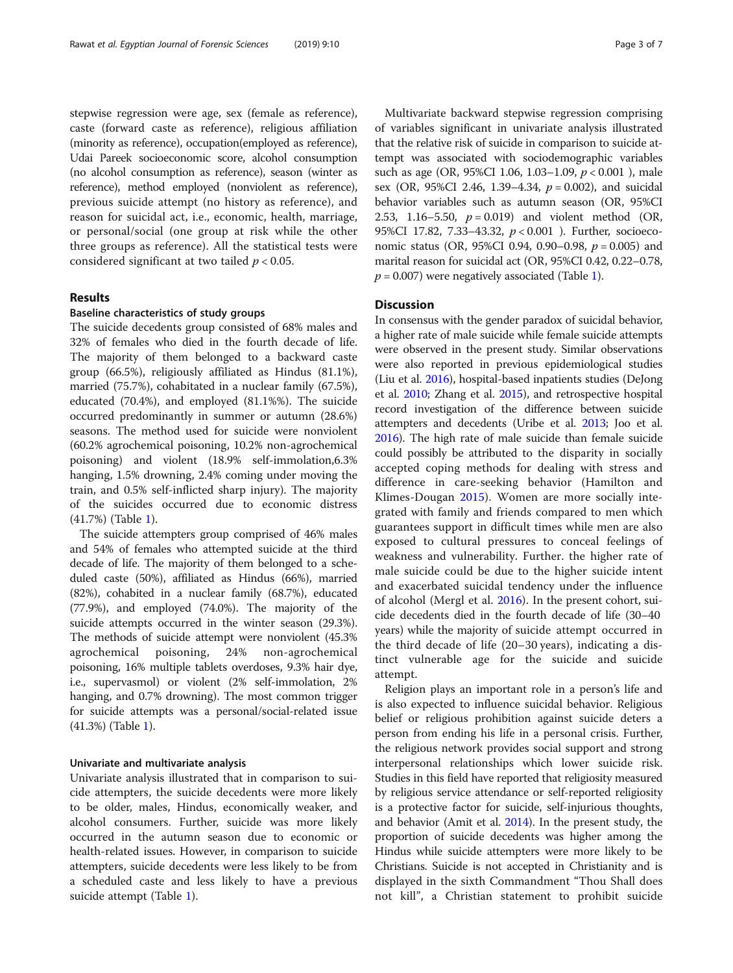stepwise regression were age, sex (female as reference), caste (forward caste as reference), religious affiliation (minority as reference), occupation(employed as reference), Udai Pareek socioeconomic score, alcohol consumption (no alcohol consumption as reference), season (winter as reference), method employed (nonviolent as reference), previous suicide attempt (no history as reference), and reason for suicidal act, i.e., economic, health, marriage, or personal/social (one group at risk while the other three groups as reference). All the statistical tests were considered significant at two tailed  $p < 0.05$ .

## Results

## Baseline characteristics of study groups

The suicide decedents group consisted of 68% males and 32% of females who died in the fourth decade of life. The majority of them belonged to a backward caste group (66.5%), religiously affiliated as Hindus (81.1%), married (75.7%), cohabitated in a nuclear family (67.5%), educated (70.4%), and employed (81.1%%). The suicide occurred predominantly in summer or autumn (28.6%) seasons. The method used for suicide were nonviolent (60.2% agrochemical poisoning, 10.2% non-agrochemical poisoning) and violent (18.9% self-immolation,6.3% hanging, 1.5% drowning, 2.4% coming under moving the train, and 0.5% self-inflicted sharp injury). The majority of the suicides occurred due to economic distress (41.7%) (Table [1\)](#page-3-0).

The suicide attempters group comprised of 46% males and 54% of females who attempted suicide at the third decade of life. The majority of them belonged to a scheduled caste (50%), affiliated as Hindus (66%), married (82%), cohabited in a nuclear family (68.7%), educated (77.9%), and employed (74.0%). The majority of the suicide attempts occurred in the winter season (29.3%). The methods of suicide attempt were nonviolent (45.3% agrochemical poisoning, 24% non-agrochemical poisoning, 16% multiple tablets overdoses, 9.3% hair dye, i.e., supervasmol) or violent (2% self-immolation, 2% hanging, and 0.7% drowning). The most common trigger for suicide attempts was a personal/social-related issue (41.3%) (Table [1](#page-3-0)).

#### Univariate and multivariate analysis

Univariate analysis illustrated that in comparison to suicide attempters, the suicide decedents were more likely to be older, males, Hindus, economically weaker, and alcohol consumers. Further, suicide was more likely occurred in the autumn season due to economic or health-related issues. However, in comparison to suicide attempters, suicide decedents were less likely to be from a scheduled caste and less likely to have a previous suicide attempt (Table [1\)](#page-3-0).

Multivariate backward stepwise regression comprising of variables significant in univariate analysis illustrated that the relative risk of suicide in comparison to suicide attempt was associated with sociodemographic variables such as age (OR, 95%CI 1.06, 1.03–1.09, p < 0.001 ), male sex (OR, 95%CI 2.46, 1.39–4.34,  $p = 0.002$ ), and suicidal behavior variables such as autumn season (OR, 95%CI 2.53, 1.16–5.50,  $p = 0.019$  and violent method (OR, 95%CI 17.82, 7.33–43.32, p < 0.001 ). Further, socioeconomic status (OR, 95%CI 0.94, 0.90–0.98,  $p = 0.005$ ) and marital reason for suicidal act (OR, 95%CI 0.42, 0.22–0.78,  $p = 0.007$ ) were negatively associated (Table [1\)](#page-3-0).

## **Discussion**

In consensus with the gender paradox of suicidal behavior, a higher rate of male suicide while female suicide attempts were observed in the present study. Similar observations were also reported in previous epidemiological studies (Liu et al. [2016](#page-5-0)), hospital-based inpatients studies (DeJong et al. [2010](#page-5-0); Zhang et al. [2015\)](#page-6-0), and retrospective hospital record investigation of the difference between suicide attempters and decedents (Uribe et al. [2013](#page-6-0); Joo et al. [2016\)](#page-5-0). The high rate of male suicide than female suicide could possibly be attributed to the disparity in socially accepted coping methods for dealing with stress and difference in care-seeking behavior (Hamilton and Klimes-Dougan [2015\)](#page-5-0). Women are more socially integrated with family and friends compared to men which guarantees support in difficult times while men are also exposed to cultural pressures to conceal feelings of weakness and vulnerability. Further. the higher rate of male suicide could be due to the higher suicide intent and exacerbated suicidal tendency under the influence of alcohol (Mergl et al. [2016](#page-5-0)). In the present cohort, suicide decedents died in the fourth decade of life (30–40 years) while the majority of suicide attempt occurred in the third decade of life (20–30 years), indicating a distinct vulnerable age for the suicide and suicide attempt.

Religion plays an important role in a person's life and is also expected to influence suicidal behavior. Religious belief or religious prohibition against suicide deters a person from ending his life in a personal crisis. Further, the religious network provides social support and strong interpersonal relationships which lower suicide risk. Studies in this field have reported that religiosity measured by religious service attendance or self-reported religiosity is a protective factor for suicide, self-injurious thoughts, and behavior (Amit et al. [2014\)](#page-5-0). In the present study, the proportion of suicide decedents was higher among the Hindus while suicide attempters were more likely to be Christians. Suicide is not accepted in Christianity and is displayed in the sixth Commandment "Thou Shall does not kill", a Christian statement to prohibit suicide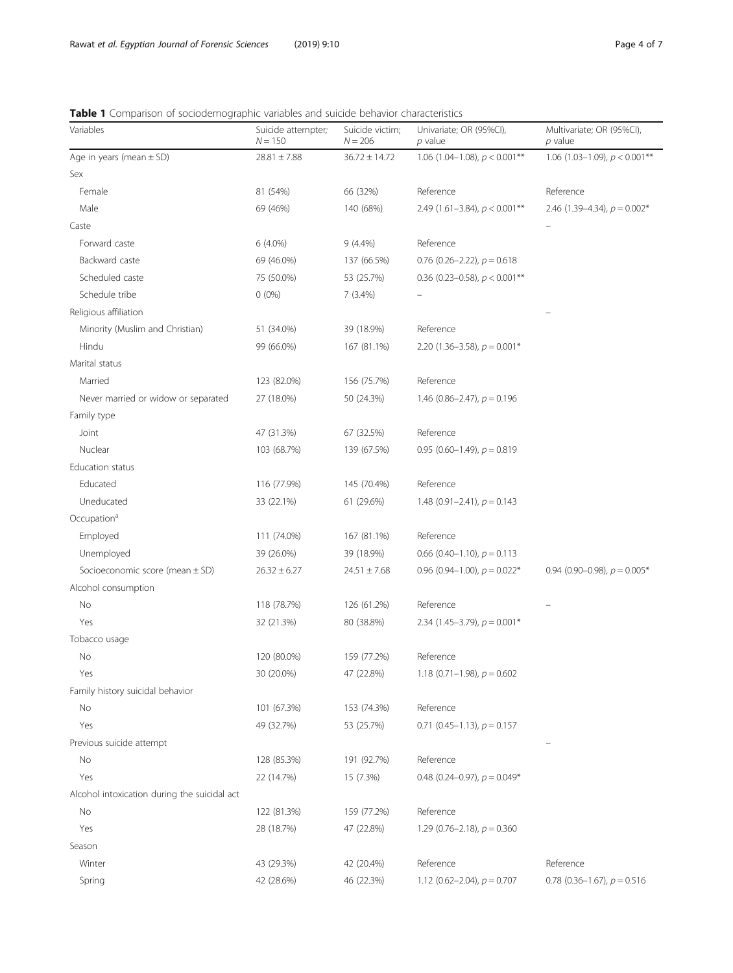<span id="page-3-0"></span>Table 1 Comparison of sociodemographic variables and suicide behavior characteristics

| Variables                                    | Suicide attempter;<br>$N = 150$ | Suicide victim;<br>$N = 206$ | Univariate; OR (95%CI),<br>p value         | Multivariate; OR (95%CI),<br>$p$ value |
|----------------------------------------------|---------------------------------|------------------------------|--------------------------------------------|----------------------------------------|
| Age in years (mean $\pm$ SD)                 | $28.81 \pm 7.88$                | $36.72 \pm 14.72$            | 1.06 (1.04-1.08), $p < 0.001$ **           | 1.06 (1.03-1.09), $p < 0.001**$        |
| Sex                                          |                                 |                              |                                            |                                        |
| Female                                       | 81 (54%)                        | 66 (32%)                     | Reference                                  | Reference                              |
| Male                                         | 69 (46%)                        | 140 (68%)                    | 2.49 (1.61-3.84), $p < 0.001$ **           | 2.46 $(1.39-4.34)$ , $p = 0.002*$      |
| Caste                                        |                                 |                              |                                            |                                        |
| Forward caste                                | $6(4.0\%)$                      | $9(4.4\%)$                   | Reference                                  |                                        |
| Backward caste                               | 69 (46.0%)                      | 137 (66.5%)                  | 0.76 (0.26–2.22), $p = 0.618$              |                                        |
| Scheduled caste                              | 75 (50.0%)                      | 53 (25.7%)                   | 0.36 (0.23–0.58), $p < 0.001$ **           |                                        |
| Schedule tribe                               | $0(0\%)$                        | 7(3.4%)                      |                                            |                                        |
| Religious affiliation                        |                                 |                              |                                            |                                        |
| Minority (Muslim and Christian)              | 51 (34.0%)                      | 39 (18.9%)                   | Reference                                  |                                        |
| Hindu                                        | 99 (66.0%)                      | 167 (81.1%)                  | 2.20 (1.36–3.58), $p = 0.001*$             |                                        |
| Marital status                               |                                 |                              |                                            |                                        |
| Married                                      | 123 (82.0%)                     | 156 (75.7%)                  | Reference                                  |                                        |
| Never married or widow or separated          | 27 (18.0%)                      | 50 (24.3%)                   | 1.46 $(0.86 - 2.47)$ , $p = 0.196$         |                                        |
| Family type                                  |                                 |                              |                                            |                                        |
| Joint                                        | 47 (31.3%)                      | 67 (32.5%)                   | Reference                                  |                                        |
| Nuclear                                      | 103 (68.7%)                     | 139 (67.5%)                  | 0.95 (0.60-1.49), $p = 0.819$              |                                        |
| Education status                             |                                 |                              |                                            |                                        |
| Educated                                     | 116 (77.9%)                     | 145 (70.4%)                  | Reference                                  |                                        |
| Uneducated                                   | 33 (22.1%)                      | 61 (29.6%)                   | 1.48 $(0.91 - 2.41)$ , $p = 0.143$         |                                        |
| Occupation <sup>a</sup>                      |                                 |                              |                                            |                                        |
| Employed                                     | 111 (74.0%)                     | 167 (81.1%)                  | Reference                                  |                                        |
| Unemployed                                   | 39 (26.0%)                      | 39 (18.9%)                   | 0.66 (0.40–1.10), $p = 0.113$              |                                        |
| Socioeconomic score (mean $\pm$ SD)          | $26.32 \pm 6.27$                | $24.51 \pm 7.68$             | 0.96 (0.94–1.00), $p = 0.022$ <sup>*</sup> | 0.94 (0.90–0.98), $p = 0.005*$         |
| Alcohol consumption                          |                                 |                              |                                            |                                        |
| No                                           | 118 (78.7%)                     | 126 (61.2%)                  | Reference                                  |                                        |
| Yes                                          | 32 (21.3%)                      | 80 (38.8%)                   | 2.34 (1.45–3.79), $p = 0.001*$             |                                        |
| Tobacco usage                                |                                 |                              |                                            |                                        |
| No                                           | 120 (80.0%)                     | 159 (77.2%)                  | Reference                                  |                                        |
| Yes                                          | 30 (20.0%)                      | 47 (22.8%)                   | 1.18 (0.71–1.98), $p = 0.602$              |                                        |
| Family history suicidal behavior             |                                 |                              |                                            |                                        |
| No                                           | 101 (67.3%)                     | 153 (74.3%)                  | Reference                                  |                                        |
| Yes                                          | 49 (32.7%)                      | 53 (25.7%)                   | $0.71$ (0.45-1.13), $p = 0.157$            |                                        |
| Previous suicide attempt                     |                                 |                              |                                            |                                        |
| No                                           | 128 (85.3%)                     | 191 (92.7%)                  | Reference                                  |                                        |
| Yes                                          | 22 (14.7%)                      | 15 (7.3%)                    | 0.48 (0.24–0.97), $p = 0.049*$             |                                        |
| Alcohol intoxication during the suicidal act |                                 |                              |                                            |                                        |
| No                                           | 122 (81.3%)                     | 159 (77.2%)                  | Reference                                  |                                        |
| Yes                                          | 28 (18.7%)                      | 47 (22.8%)                   | 1.29 (0.76–2.18), $p = 0.360$              |                                        |
| Season                                       |                                 |                              |                                            |                                        |
| Winter                                       | 43 (29.3%)                      | 42 (20.4%)                   | Reference                                  | Reference                              |
| Spring                                       | 42 (28.6%)                      | 46 (22.3%)                   | 1.12 (0.62–2.04), $p = 0.707$              | 0.78 (0.36-1.67), $p = 0.516$          |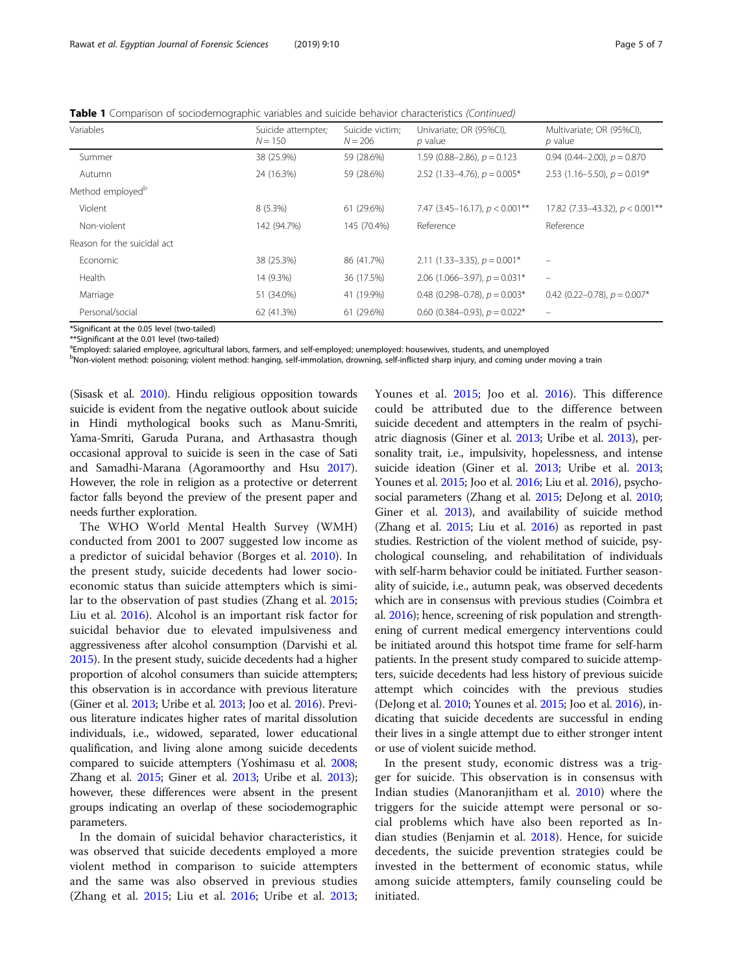Table 1 Comparison of sociodemographic variables and suicide behavior characteristics (Continued)

| Variables                    | Suicide attempter;<br>$N = 150$ | Suicide victim;<br>$N = 206$ | Univariate; OR (95%CI),<br>p value   | Multivariate; OR (95%Cl),<br>$p$ value     |  |  |
|------------------------------|---------------------------------|------------------------------|--------------------------------------|--------------------------------------------|--|--|
| Summer                       | 38 (25.9%)                      | 59 (28.6%)                   | 1.59 (0.88–2.86), $p = 0.123$        | 0.94 $(0.44 - 2.00)$ , $p = 0.870$         |  |  |
| Autumn                       | 24 (16.3%)                      | 59 (28.6%)                   | 2.52 (1.33–4.76), $p = 0.005*$       | 2.53 (1.16–5.50), $p = 0.019*$             |  |  |
| Method employed <sup>b</sup> |                                 |                              |                                      |                                            |  |  |
| Violent                      | $8(5.3\%)$                      | 61 (29.6%)                   | 7.47 (3.45-16.17), $p < 0.001$ **    | 17.82 (7.33-43.32), $p < 0.001**$          |  |  |
| Non-violent                  | 142 (94.7%)                     | 145 (70.4%)                  | Reference                            | Reference                                  |  |  |
| Reason for the suicidal act  |                                 |                              |                                      |                                            |  |  |
| Economic                     | 38 (25.3%)                      | 86 (41.7%)                   | 2.11 (1.33–3.35), $p = 0.001*$       |                                            |  |  |
| Health                       | 14 (9.3%)                       | 36 (17.5%)                   | 2.06 $(1.066 - 3.97)$ , $p = 0.031*$ |                                            |  |  |
| Marriage                     | 51 (34.0%)                      | 41 (19.9%)                   | 0.48 (0.298-0.78), $p = 0.003*$      | 0.42 (0.22–0.78), $p = 0.007$ <sup>*</sup> |  |  |
| Personal/social              | 62 (41.3%)                      | 61 (29.6%)                   | 0.60 (0.384–0.93), $p = 0.022*$      |                                            |  |  |

\*Significant at the 0.05 level (two-tailed)

\*\*Significant at the 0.01 level (two-tailed)

<sup>a</sup>Employed: salaried employee, agricultural labors, farmers, and self-employed; unemployed: housewives, students, and unemployed

b<br>Pon-violent method: poisoning; violent method: hanging, self-immolation, drowning, self-inflicted sharp injury, and coming under moving a train

(Sisask et al. [2010](#page-6-0)). Hindu religious opposition towards suicide is evident from the negative outlook about suicide in Hindi mythological books such as Manu-Smriti, Yama-Smriti, Garuda Purana, and Arthasastra though occasional approval to suicide is seen in the case of Sati and Samadhi-Marana (Agoramoorthy and Hsu [2017](#page-5-0)). However, the role in religion as a protective or deterrent factor falls beyond the preview of the present paper and needs further exploration.

The WHO World Mental Health Survey (WMH) conducted from 2001 to 2007 suggested low income as a predictor of suicidal behavior (Borges et al. [2010\)](#page-5-0). In the present study, suicide decedents had lower socioeconomic status than suicide attempters which is similar to the observation of past studies (Zhang et al. [2015](#page-6-0); Liu et al. [2016](#page-5-0)). Alcohol is an important risk factor for suicidal behavior due to elevated impulsiveness and aggressiveness after alcohol consumption (Darvishi et al. [2015\)](#page-5-0). In the present study, suicide decedents had a higher proportion of alcohol consumers than suicide attempters; this observation is in accordance with previous literature (Giner et al. [2013](#page-5-0); Uribe et al. [2013](#page-6-0); Joo et al. [2016\)](#page-5-0). Previous literature indicates higher rates of marital dissolution individuals, i.e., widowed, separated, lower educational qualification, and living alone among suicide decedents compared to suicide attempters (Yoshimasu et al. [2008](#page-6-0); Zhang et al. [2015;](#page-6-0) Giner et al. [2013](#page-5-0); Uribe et al. [2013](#page-6-0)); however, these differences were absent in the present groups indicating an overlap of these sociodemographic parameters.

In the domain of suicidal behavior characteristics, it was observed that suicide decedents employed a more violent method in comparison to suicide attempters and the same was also observed in previous studies (Zhang et al. [2015;](#page-6-0) Liu et al. [2016;](#page-5-0) Uribe et al. [2013](#page-6-0);

Younes et al. [2015;](#page-6-0) Joo et al. [2016\)](#page-5-0). This difference could be attributed due to the difference between suicide decedent and attempters in the realm of psychiatric diagnosis (Giner et al. [2013;](#page-5-0) Uribe et al. [2013](#page-6-0)), personality trait, i.e., impulsivity, hopelessness, and intense suicide ideation (Giner et al. [2013;](#page-5-0) Uribe et al. [2013](#page-6-0); Younes et al. [2015;](#page-6-0) Joo et al. [2016;](#page-5-0) Liu et al. [2016\)](#page-5-0), psychosocial parameters (Zhang et al. [2015](#page-6-0); DeJong et al. [2010](#page-5-0); Giner et al. [2013\)](#page-5-0), and availability of suicide method (Zhang et al. [2015](#page-6-0); Liu et al. [2016](#page-5-0)) as reported in past studies. Restriction of the violent method of suicide, psychological counseling, and rehabilitation of individuals with self-harm behavior could be initiated. Further seasonality of suicide, i.e., autumn peak, was observed decedents which are in consensus with previous studies (Coimbra et al. [2016](#page-5-0)); hence, screening of risk population and strengthening of current medical emergency interventions could be initiated around this hotspot time frame for self-harm patients. In the present study compared to suicide attempters, suicide decedents had less history of previous suicide attempt which coincides with the previous studies (DeJong et al. [2010;](#page-5-0) Younes et al. [2015](#page-6-0); Joo et al. [2016](#page-5-0)), indicating that suicide decedents are successful in ending their lives in a single attempt due to either stronger intent or use of violent suicide method.

In the present study, economic distress was a trigger for suicide. This observation is in consensus with Indian studies (Manoranjitham et al. [2010](#page-5-0)) where the triggers for the suicide attempt were personal or social problems which have also been reported as Indian studies (Benjamin et al. [2018](#page-5-0)). Hence, for suicide decedents, the suicide prevention strategies could be invested in the betterment of economic status, while among suicide attempters, family counseling could be initiated.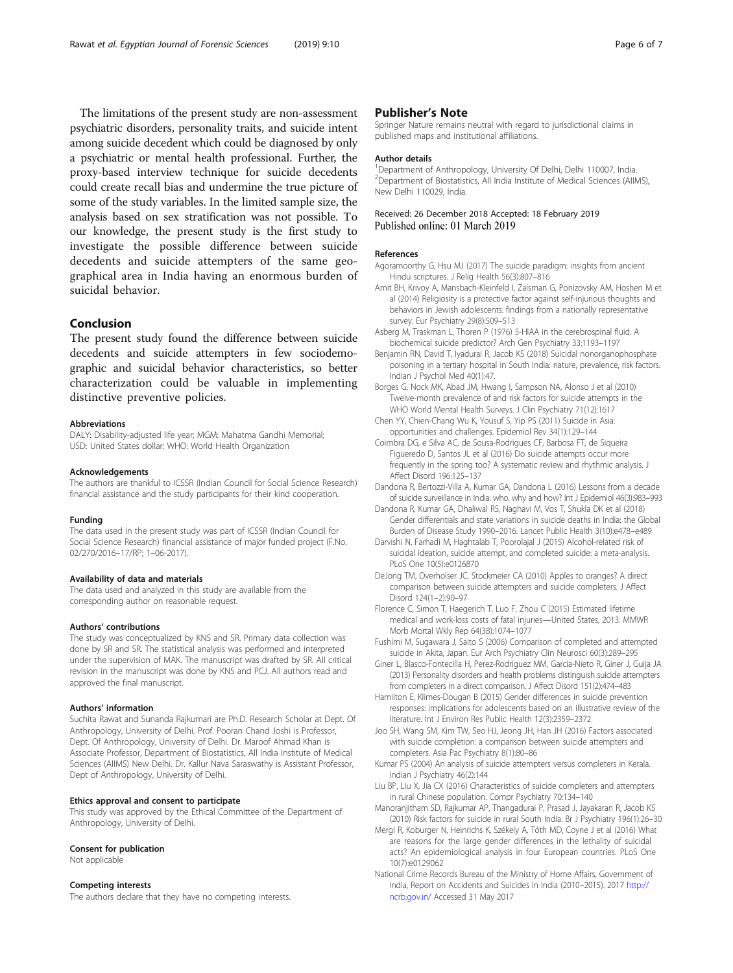<span id="page-5-0"></span>The limitations of the present study are non-assessment psychiatric disorders, personality traits, and suicide intent among suicide decedent which could be diagnosed by only a psychiatric or mental health professional. Further, the proxy-based interview technique for suicide decedents could create recall bias and undermine the true picture of some of the study variables. In the limited sample size, the analysis based on sex stratification was not possible. To our knowledge, the present study is the first study to investigate the possible difference between suicide decedents and suicide attempters of the same geographical area in India having an enormous burden of suicidal behavior.

## Conclusion

The present study found the difference between suicide decedents and suicide attempters in few sociodemographic and suicidal behavior characteristics, so better characterization could be valuable in implementing distinctive preventive policies.

#### Abbreviations

DALY: Disability-adjusted life year; MGM: Mahatma Gandhi Memorial; USD: United States dollar; WHO: World Health Organization

#### Acknowledgements

The authors are thankful to ICSSR (Indian Council for Social Science Research) financial assistance and the study participants for their kind cooperation.

#### Funding

The data used in the present study was part of ICSSR (Indian Council for Social Science Research) financial assistance of major funded project (F.No. 02/270/2016–17/RP; 1–06-2017).

#### Availability of data and materials

The data used and analyzed in this study are available from the corresponding author on reasonable request.

#### Authors' contributions

The study was conceptualized by KNS and SR. Primary data collection was done by SR and SR. The statistical analysis was performed and interpreted under the supervision of MAK. The manuscript was drafted by SR. All critical revision in the manuscript was done by KNS and PCJ. All authors read and approved the final manuscript.

#### Authors' information

Suchita Rawat and Sunanda Rajkumari are Ph.D. Research Scholar at Dept. Of Anthropology, University of Delhi. Prof. Pooran Chand Joshi is Professor, Dept. Of Anthropology, University of Delhi. Dr. Maroof Ahmad Khan is Associate Professor, Department of Biostatistics, All India Institute of Medical Sciences (AIIMS) New Delhi. Dr. Kallur Nava Saraswathy is Assistant Professor, Dept of Anthropology, University of Delhi.

#### Ethics approval and consent to participate

This study was approved by the Ethical Committee of the Department of Anthropology, University of Delhi.

#### Consent for publication

Not applicable

#### Competing interests

The authors declare that they have no competing interests.

## Publisher's Note

Springer Nature remains neutral with regard to jurisdictional claims in published maps and institutional affiliations.

#### Author details

<sup>1</sup>Department of Anthropology, University Of Delhi, Delhi 110007, India <sup>2</sup> Department of Biostatistics, All India Institute of Medical Sciences (AIIMS) New Delhi 110029, India.

## Received: 26 December 2018 Accepted: 18 February 2019 Published online: 01 March 2019

#### References

- Agoramoorthy G, Hsu MJ (2017) The suicide paradigm: insights from ancient Hindu scriptures. J Relig Health 56(3):807–816
- Amit BH, Krivoy A, Mansbach-Kleinfeld I, Zalsman G, Ponizovsky AM, Hoshen M et al (2014) Religiosity is a protective factor against self-injurious thoughts and behaviors in Jewish adolescents: findings from a nationally representative survey. Eur Psychiatry 29(8):509–513
- Asberg M, Traskman L, Thoren P (1976) 5-HIAA in the cerebrospinal fluid. A biochemical suicide predictor? Arch Gen Psychiatry 33:1193–1197
- Benjamin RN, David T, Iyadurai R, Jacob KS (2018) Suicidal nonorganophosphate poisoning in a tertiary hospital in South India: nature, prevalence, risk factors. Indian J Psychol Med 40(1):47.
- Borges G, Nock MK, Abad JM, Hwang I, Sampson NA, Alonso J et al (2010) Twelve-month prevalence of and risk factors for suicide attempts in the WHO World Mental Health Surveys. J Clin Psychiatry 71(12):1617
- Chen YY, Chien-Chang Wu K, Yousuf S, Yip PS (2011) Suicide in Asia: opportunities and challenges. Epidemiol Rev 34(1):129–144
- Coimbra DG, e Silva AC, de Sousa-Rodrigues CF, Barbosa FT, de Siqueira Figueredo D, Santos JL et al (2016) Do suicide attempts occur more frequently in the spring too? A systematic review and rhythmic analysis. J Affect Disord 196:125–137
- Dandona R, Bertozzi-Villa A, Kumar GA, Dandona L (2016) Lessons from a decade of suicide surveillance in India: who, why and how? Int J Epidemiol 46(3):983–993
- Dandona R, Kumar GA, Dhaliwal RS, Naghavi M, Vos T, Shukla DK et al (2018) Gender differentials and state variations in suicide deaths in India: the Global Burden of Disease Study 1990–2016. Lancet Public Health 3(10):e478–e489
- Darvishi N, Farhadi M, Haghtalab T, Poorolajal J (2015) Alcohol-related risk of suicidal ideation, suicide attempt, and completed suicide: a meta-analysis. PLoS One 10(5):e0126870
- DeJong TM, Overholser JC, Stockmeier CA (2010) Apples to oranges? A direct comparison between suicide attempters and suicide completers. J Affect Disord 124(1–2):90–97
- Florence C, Simon T, Haegerich T, Luo F, Zhou C (2015) Estimated lifetime medical and work-loss costs of fatal injuries—United States, 2013. MMWR Morb Mortal Wkly Rep 64(38):1074–1077
- Fushimi M, Sugawara J, Saito S (2006) Comparison of completed and attempted suicide in Akita, Japan. Eur Arch Psychiatry Clin Neurosci 60(3):289–295
- Giner L, Blasco-Fontecilla H, Perez-Rodriguez MM, Garcia-Nieto R, Giner J, Guija JA (2013) Personality disorders and health problems distinguish suicide attempters from completers in a direct comparison. J Affect Disord 151(2):474–483
- Hamilton E, Klimes-Dougan B (2015) Gender differences in suicide prevention responses: implications for adolescents based on an illustrative review of the literature. Int J Environ Res Public Health 12(3):2359–2372
- Joo SH, Wang SM, Kim TW, Seo HJ, Jeong JH, Han JH (2016) Factors associated with suicide completion: a comparison between suicide attempters and completers. Asia Pac Psychiatry 8(1):80–86
- Kumar PS (2004) An analysis of suicide attempters versus completers in Kerala. Indian J Psychiatry 46(2):144
- Liu BP, Liu X, Jia CX (2016) Characteristics of suicide completers and attempters in rural Chinese population. Compr Psychiatry 70:134–140
- Manoranjitham SD, Rajkumar AP, Thangadurai P, Prasad J, Jayakaran R, Jacob KS (2010) Risk factors for suicide in rural South India. Br J Psychiatry 196(1):26–30
- Mergl R, Koburger N, Heinrichs K, Székely A, Tóth MD, Coyne J et al (2016) What are reasons for the large gender differences in the lethality of suicidal acts? An epidemiological analysis in four European countries. PLoS One 10(7):e0129062
- National Crime Records Bureau of the Ministry of Home Affairs, Government of India, Report on Accidents and Suicides in India (2010–2015). 2017 [http://](http://ncrb.gov.in/) [ncrb.gov.in/](http://ncrb.gov.in/) Accessed 31 May 2017